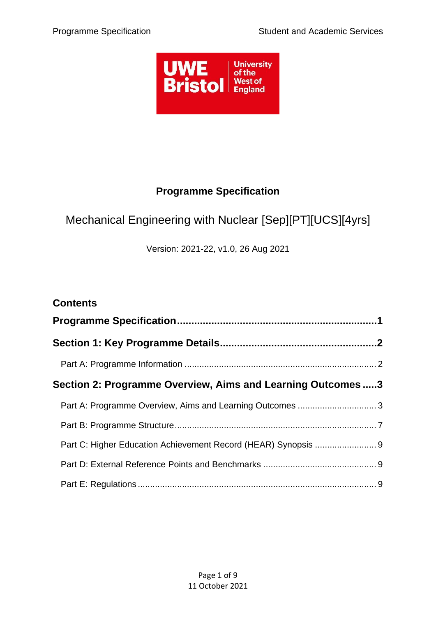

## **Programme Specification**

# <span id="page-0-0"></span>Mechanical Engineering with Nuclear [Sep][PT][UCS][4yrs]

Version: 2021-22, v1.0, 26 Aug 2021

| <b>Contents</b>                                             |  |
|-------------------------------------------------------------|--|
|                                                             |  |
|                                                             |  |
|                                                             |  |
| Section 2: Programme Overview, Aims and Learning Outcomes 3 |  |
|                                                             |  |
|                                                             |  |
|                                                             |  |
|                                                             |  |
|                                                             |  |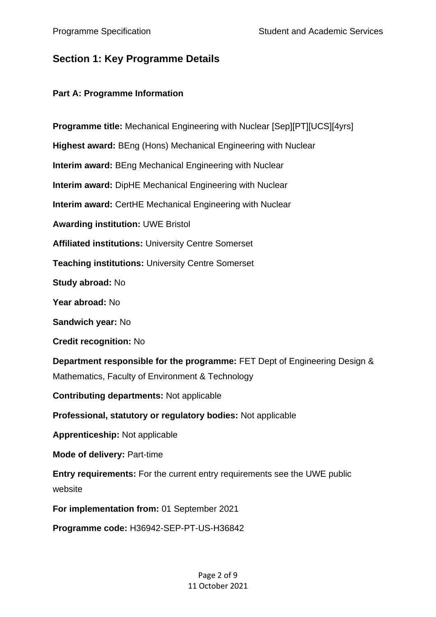## <span id="page-1-0"></span>**Section 1: Key Programme Details**

#### <span id="page-1-1"></span>**Part A: Programme Information**

**Programme title:** Mechanical Engineering with Nuclear [Sep][PT][UCS][4yrs] **Highest award:** BEng (Hons) Mechanical Engineering with Nuclear **Interim award:** BEng Mechanical Engineering with Nuclear **Interim award:** DipHE Mechanical Engineering with Nuclear **Interim award:** CertHE Mechanical Engineering with Nuclear **Awarding institution:** UWE Bristol **Affiliated institutions:** University Centre Somerset **Teaching institutions:** University Centre Somerset **Study abroad:** No **Year abroad:** No **Sandwich year:** No **Credit recognition:** No **Department responsible for the programme:** FET Dept of Engineering Design & Mathematics, Faculty of Environment & Technology **Contributing departments:** Not applicable **Professional, statutory or regulatory bodies:** Not applicable **Apprenticeship:** Not applicable **Mode of delivery:** Part-time **Entry requirements:** For the current entry requirements see the UWE public website

**For implementation from:** 01 September 2021

**Programme code:** H36942-SEP-PT-US-H36842

Page 2 of 9 11 October 2021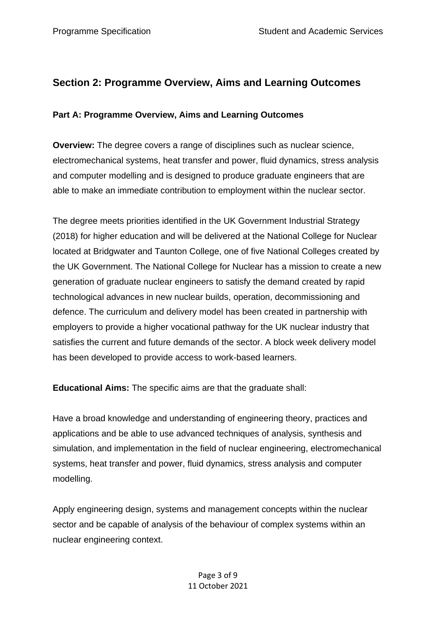## <span id="page-2-0"></span>**Section 2: Programme Overview, Aims and Learning Outcomes**

## <span id="page-2-1"></span>**Part A: Programme Overview, Aims and Learning Outcomes**

**Overview:** The degree covers a range of disciplines such as nuclear science, electromechanical systems, heat transfer and power, fluid dynamics, stress analysis and computer modelling and is designed to produce graduate engineers that are able to make an immediate contribution to employment within the nuclear sector.

The degree meets priorities identified in the UK Government Industrial Strategy (2018) for higher education and will be delivered at the National College for Nuclear located at Bridgwater and Taunton College, one of five National Colleges created by the UK Government. The National College for Nuclear has a mission to create a new generation of graduate nuclear engineers to satisfy the demand created by rapid technological advances in new nuclear builds, operation, decommissioning and defence. The curriculum and delivery model has been created in partnership with employers to provide a higher vocational pathway for the UK nuclear industry that satisfies the current and future demands of the sector. A block week delivery model has been developed to provide access to work-based learners.

**Educational Aims:** The specific aims are that the graduate shall:

Have a broad knowledge and understanding of engineering theory, practices and applications and be able to use advanced techniques of analysis, synthesis and simulation, and implementation in the field of nuclear engineering, electromechanical systems, heat transfer and power, fluid dynamics, stress analysis and computer modelling.

Apply engineering design, systems and management concepts within the nuclear sector and be capable of analysis of the behaviour of complex systems within an nuclear engineering context.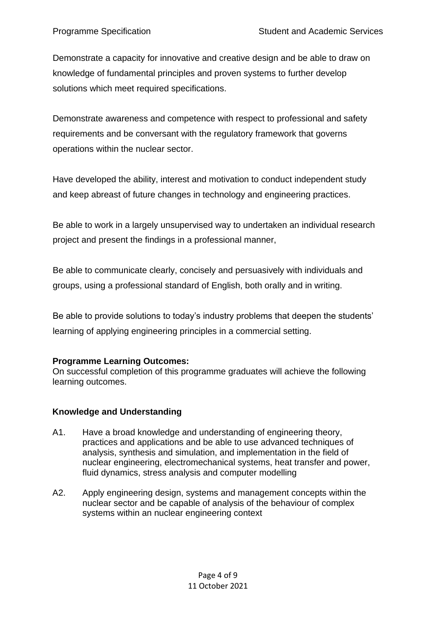Demonstrate a capacity for innovative and creative design and be able to draw on knowledge of fundamental principles and proven systems to further develop solutions which meet required specifications.

Demonstrate awareness and competence with respect to professional and safety requirements and be conversant with the regulatory framework that governs operations within the nuclear sector.

Have developed the ability, interest and motivation to conduct independent study and keep abreast of future changes in technology and engineering practices.

Be able to work in a largely unsupervised way to undertaken an individual research project and present the findings in a professional manner,

Be able to communicate clearly, concisely and persuasively with individuals and groups, using a professional standard of English, both orally and in writing.

Be able to provide solutions to today's industry problems that deepen the students' learning of applying engineering principles in a commercial setting.

## **Programme Learning Outcomes:**

On successful completion of this programme graduates will achieve the following learning outcomes.

## **Knowledge and Understanding**

- A1. Have a broad knowledge and understanding of engineering theory, practices and applications and be able to use advanced techniques of analysis, synthesis and simulation, and implementation in the field of nuclear engineering, electromechanical systems, heat transfer and power, fluid dynamics, stress analysis and computer modelling
- A2. Apply engineering design, systems and management concepts within the nuclear sector and be capable of analysis of the behaviour of complex systems within an nuclear engineering context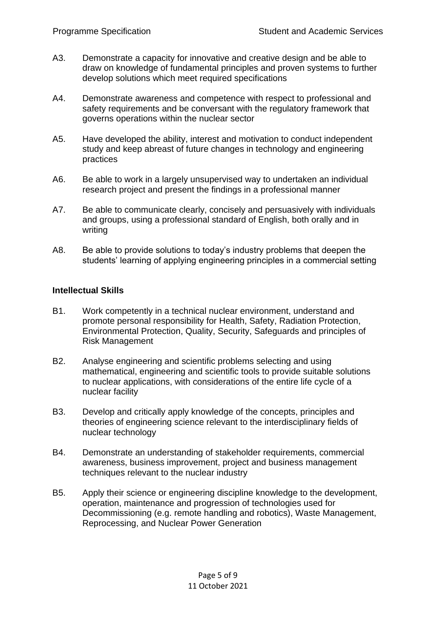- A3. Demonstrate a capacity for innovative and creative design and be able to draw on knowledge of fundamental principles and proven systems to further develop solutions which meet required specifications
- A4. Demonstrate awareness and competence with respect to professional and safety requirements and be conversant with the regulatory framework that governs operations within the nuclear sector
- A5. Have developed the ability, interest and motivation to conduct independent study and keep abreast of future changes in technology and engineering practices
- A6. Be able to work in a largely unsupervised way to undertaken an individual research project and present the findings in a professional manner
- A7. Be able to communicate clearly, concisely and persuasively with individuals and groups, using a professional standard of English, both orally and in writing
- A8. Be able to provide solutions to today's industry problems that deepen the students' learning of applying engineering principles in a commercial setting

#### **Intellectual Skills**

- B1. Work competently in a technical nuclear environment, understand and promote personal responsibility for Health, Safety, Radiation Protection, Environmental Protection, Quality, Security, Safeguards and principles of Risk Management
- B2. Analyse engineering and scientific problems selecting and using mathematical, engineering and scientific tools to provide suitable solutions to nuclear applications, with considerations of the entire life cycle of a nuclear facility
- B3. Develop and critically apply knowledge of the concepts, principles and theories of engineering science relevant to the interdisciplinary fields of nuclear technology
- B4. Demonstrate an understanding of stakeholder requirements, commercial awareness, business improvement, project and business management techniques relevant to the nuclear industry
- B5. Apply their science or engineering discipline knowledge to the development, operation, maintenance and progression of technologies used for Decommissioning (e.g. remote handling and robotics), Waste Management, Reprocessing, and Nuclear Power Generation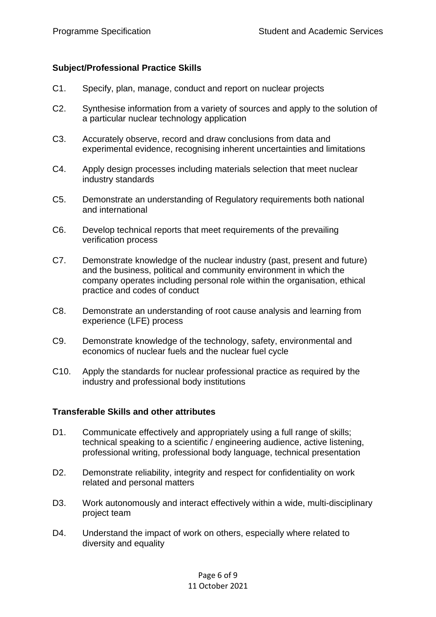#### **Subject/Professional Practice Skills**

- C1. Specify, plan, manage, conduct and report on nuclear projects
- C2. Synthesise information from a variety of sources and apply to the solution of a particular nuclear technology application
- C3. Accurately observe, record and draw conclusions from data and experimental evidence, recognising inherent uncertainties and limitations
- C4. Apply design processes including materials selection that meet nuclear industry standards
- C5. Demonstrate an understanding of Regulatory requirements both national and international
- C6. Develop technical reports that meet requirements of the prevailing verification process
- C7. Demonstrate knowledge of the nuclear industry (past, present and future) and the business, political and community environment in which the company operates including personal role within the organisation, ethical practice and codes of conduct
- C8. Demonstrate an understanding of root cause analysis and learning from experience (LFE) process
- C9. Demonstrate knowledge of the technology, safety, environmental and economics of nuclear fuels and the nuclear fuel cycle
- C10. Apply the standards for nuclear professional practice as required by the industry and professional body institutions

#### **Transferable Skills and other attributes**

- D1. Communicate effectively and appropriately using a full range of skills; technical speaking to a scientific / engineering audience, active listening, professional writing, professional body language, technical presentation
- D2. Demonstrate reliability, integrity and respect for confidentiality on work related and personal matters
- D3. Work autonomously and interact effectively within a wide, multi-disciplinary project team
- D4. Understand the impact of work on others, especially where related to diversity and equality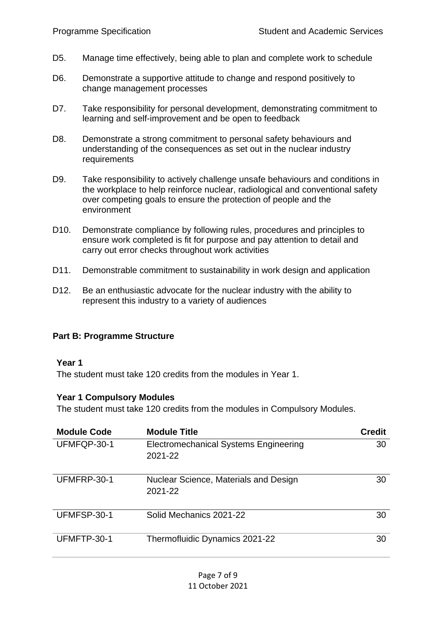- D5. Manage time effectively, being able to plan and complete work to schedule
- D6. Demonstrate a supportive attitude to change and respond positively to change management processes
- D7. Take responsibility for personal development, demonstrating commitment to learning and self-improvement and be open to feedback
- D8. Demonstrate a strong commitment to personal safety behaviours and understanding of the consequences as set out in the nuclear industry requirements
- D9. Take responsibility to actively challenge unsafe behaviours and conditions in the workplace to help reinforce nuclear, radiological and conventional safety over competing goals to ensure the protection of people and the environment
- D10. Demonstrate compliance by following rules, procedures and principles to ensure work completed is fit for purpose and pay attention to detail and carry out error checks throughout work activities
- D11. Demonstrable commitment to sustainability in work design and application
- D12. Be an enthusiastic advocate for the nuclear industry with the ability to represent this industry to a variety of audiences

## <span id="page-6-0"></span>**Part B: Programme Structure**

#### **Year 1**

The student must take 120 credits from the modules in Year 1.

#### **Year 1 Compulsory Modules**

The student must take 120 credits from the modules in Compulsory Modules.

| <b>Module Code</b> | <b>Module Title</b>                                     | <b>Credit</b> |
|--------------------|---------------------------------------------------------|---------------|
| UFMFQP-30-1        | <b>Electromechanical Systems Engineering</b><br>2021-22 | 30            |
| UFMFRP-30-1        | Nuclear Science, Materials and Design<br>2021-22        | 30            |
| UFMFSP-30-1        | Solid Mechanics 2021-22                                 | 30            |
| UFMFTP-30-1        | Thermofluidic Dynamics 2021-22                          | 30            |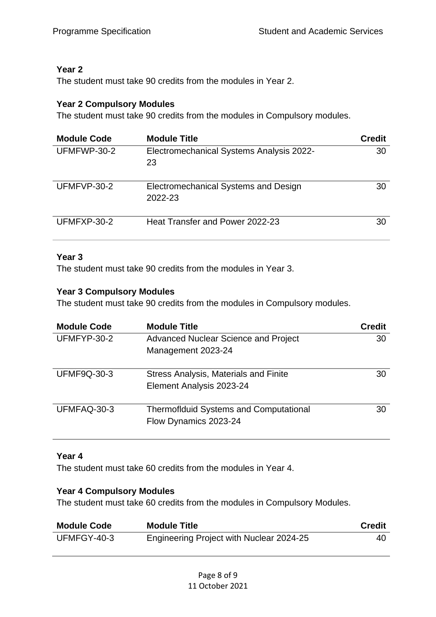## **Year 2**

The student must take 90 credits from the modules in Year 2.

## **Year 2 Compulsory Modules**

The student must take 90 credits from the modules in Compulsory modules.

| <b>Module Code</b> | <b>Module Title</b>                             | <b>Credit</b> |
|--------------------|-------------------------------------------------|---------------|
| UFMFWP-30-2        | Electromechanical Systems Analysis 2022-<br>23  | 30            |
| UFMFVP-30-2        | Electromechanical Systems and Design<br>2022-23 | 30            |
| UFMFXP-30-2        | Heat Transfer and Power 2022-23                 | 30            |

## **Year 3**

The student must take 90 credits from the modules in Year 3.

## **Year 3 Compulsory Modules**

The student must take 90 credits from the modules in Compulsory modules.

| <b>Module Code</b> | <b>Module Title</b>                                                    | <b>Credit</b> |
|--------------------|------------------------------------------------------------------------|---------------|
| UFMFYP-30-2        | <b>Advanced Nuclear Science and Project</b>                            | 30            |
|                    | Management 2023-24                                                     |               |
| <b>UFMF9Q-30-3</b> | Stress Analysis, Materials and Finite                                  | 30            |
|                    | Element Analysis 2023-24                                               |               |
| UFMFAQ-30-3        | <b>Thermoflduid Systems and Computational</b><br>Flow Dynamics 2023-24 | 30            |

## **Year 4**

The student must take 60 credits from the modules in Year 4.

## **Year 4 Compulsory Modules**

The student must take 60 credits from the modules in Compulsory Modules.

| <b>Module Code</b> | <b>Module Title</b>                      | <b>Credit</b> |
|--------------------|------------------------------------------|---------------|
| UFMFGY-40-3        | Engineering Project with Nuclear 2024-25 | 40            |